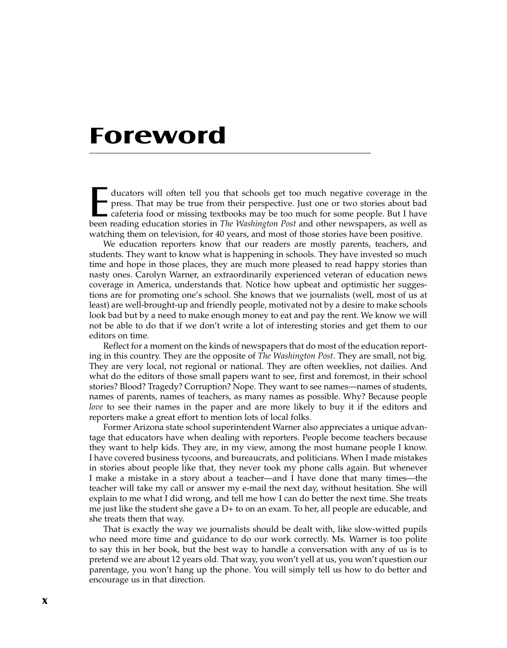## **Foreword**

ducators will often tell you that schools get too much negative coverage in the press. That may be true from their perspective. Just one or two stories about bad cafeteria food or missing textbooks may be too much for some press. That may be true from their perspective. Just one or two stories about bad been reading education stories in *The Washington Post* and other newspapers, as well as watching them on television, for 40 years, and most of those stories have been positive.

We education reporters know that our readers are mostly parents, teachers, and students. They want to know what is happening in schools. They have invested so much time and hope in those places, they are much more pleased to read happy stories than nasty ones. Carolyn Warner, an extraordinarily experienced veteran of education news coverage in America, understands that. Notice how upbeat and optimistic her suggestions are for promoting one's school. She knows that we journalists (well, most of us at least) are well-brought-up and friendly people, motivated not by a desire to make schools look bad but by a need to make enough money to eat and pay the rent. We know we will not be able to do that if we don't write a lot of interesting stories and get them to our editors on time.

Reflect for a moment on the kinds of newspapers that do most of the education reporting in this country. They are the opposite of *The Washington Post*. They are small, not big. They are very local, not regional or national. They are often weeklies, not dailies. And what do the editors of those small papers want to see, first and foremost, in their school stories? Blood? Tragedy? Corruption? Nope. They want to see names—names of students, names of parents, names of teachers, as many names as possible. Why? Because people *love* to see their names in the paper and are more likely to buy it if the editors and reporters make a great effort to mention lots of local folks.

Former Arizona state school superintendent Warner also appreciates a unique advantage that educators have when dealing with reporters. People become teachers because they want to help kids. They are, in my view, among the most humane people I know. I have covered business tycoons, and bureaucrats, and politicians. When I made mistakes in stories about people like that, they never took my phone calls again. But whenever I make a mistake in a story about a teacher—and I have done that many times—the teacher will take my call or answer my e-mail the next day, without hesitation. She will explain to me what I did wrong, and tell me how I can do better the next time. She treats me just like the student she gave a D+ to on an exam. To her, all people are educable, and she treats them that way.

That is exactly the way we journalists should be dealt with, like slow-witted pupils who need more time and guidance to do our work correctly. Ms. Warner is too polite to say this in her book, but the best way to handle a conversation with any of us is to pretend we are about 12 years old. That way, you won't yell at us, you won't question our parentage, you won't hang up the phone. You will simply tell us how to do better and encourage us in that direction.